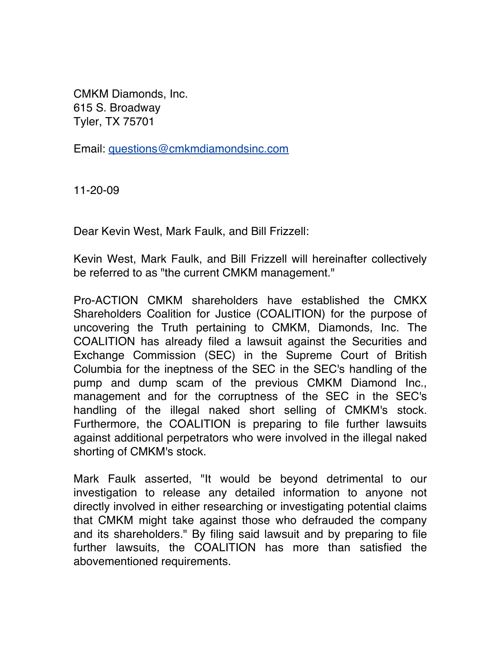CMKM Diamonds, Inc. 615 S. Broadway Tyler, TX 75701

Email: questions@cmkmdiamondsinc.com

11-20-09

Dear Kevin West, Mark Faulk, and Bill Frizzell:

Kevin West, Mark Faulk, and Bill Frizzell will hereinafter collectively be referred to as "the current CMKM management."

Pro-ACTION CMKM shareholders have established the CMKX Shareholders Coalition for Justice (COALITION) for the purpose of uncovering the Truth pertaining to CMKM, Diamonds, Inc. The COALITION has already filed a lawsuit against the Securities and Exchange Commission (SEC) in the Supreme Court of British Columbia for the ineptness of the SEC in the SEC's handling of the pump and dump scam of the previous CMKM Diamond Inc., management and for the corruptness of the SEC in the SEC's handling of the illegal naked short selling of CMKM's stock. Furthermore, the COALITION is preparing to file further lawsuits against additional perpetrators who were involved in the illegal naked shorting of CMKM's stock.

Mark Faulk asserted, "It would be beyond detrimental to our investigation to release any detailed information to anyone not directly involved in either researching or investigating potential claims that CMKM might take against those who defrauded the company and its shareholders." By filing said lawsuit and by preparing to file further lawsuits, the COALITION has more than satisfied the abovementioned requirements.